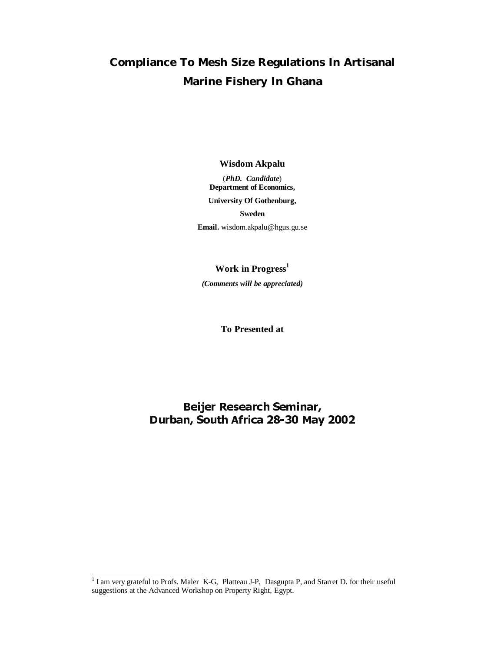# **Compliance To Mesh Size Regulations In Artisanal Marine Fishery In Ghana**

**Wisdom Akpalu** 

(*PhD. Candidate*) **Department of Economics,** 

**University Of Gothenburg,** 

**Sweden** 

**Email.** wisdom.akpalu@hgus.gu.se

Work in Progress<sup>1</sup>

*(Comments will be appreciated)* 

**To Presented at** 

1

**n, South Africa 28-30 May**<br>Maler K-G, Platteau J-P, Dasgupta P, and St<br>Workshop on Property Right, Egypt. Durban, South Africa 28-30 May 2002<br>10 Profs. Maler K-G, Platteau J-P, Dasgupta P, and Starret D. for<br>Advanced Workshop on Property Right, Egypt. <sup>1</sup> I am very grateful to Profs. Maler K-G, Platteau J-P, Dasgupta P, and Starret D. for their useful suggestions at the Advanced Workshop on Property Right, Egypt.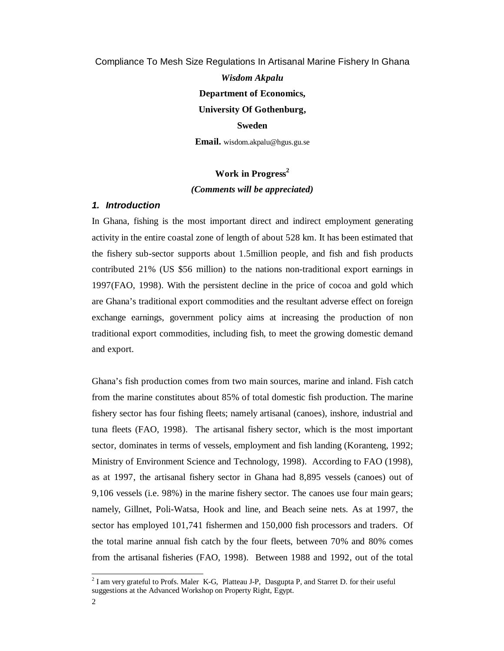Compliance To Mesh Size Regulations In Artisanal Marine Fishery In Ghana

*Wisdom Akpalu*  **Department of Economics, University Of Gothenburg, Sweden** 

**Email.** wisdom.akpalu@hgus.gu.se

## Work in Progress<sup>2</sup> *(Comments will be appreciated)*

### *1. Introduction*

In Ghana, fishing is the most important direct and indirect employment generating activity in the entire coastal zone of length of about 528 km. It has been estimated that the fishery sub-sector supports about 1.5million people, and fish and fish products contributed 21% (US \$56 million) to the nations non-traditional export earnings in 1997(FAO, 1998). With the persistent decline in the price of cocoa and gold which are Ghana's traditional export commodities and the resultant adverse effect on foreign exchange earnings, government policy aims at increasing the production of non traditional export commodities, including fish, to meet the growing domestic demand and export.

Ghana's fish production comes from two main sources, marine and inland. Fish catch from the marine constitutes about 85% of total domestic fish production. The marine fishery sector has four fishing fleets; namely artisanal (canoes), inshore, industrial and tuna fleets (FAO, 1998). The artisanal fishery sector, which is the most important sector, dominates in terms of vessels, employment and fish landing (Koranteng, 1992; Ministry of Environment Science and Technology, 1998). According to FAO (1998), as at 1997, the artisanal fishery sector in Ghana had 8,895 vessels (canoes) out of 9,106 vessels (i.e. 98%) in the marine fishery sector. The canoes use four main gears; namely, Gillnet, Poli-Watsa, Hook and line, and Beach seine nets. As at 1997, the sector has employed 101,741 fishermen and 150,000 fish processors and traders. Of the total marine annual fish catch by the four fleets, between 70% and 80% comes from the artisanal fisheries (FAO, 1998). Between 1988 and 1992, out of the total

1

 $2^{2}$  I am very grateful to Profs. Maler K-G, Platteau J-P, Dasgupta P, and Starret D. for their useful suggestions at the Advanced Workshop on Property Right, Egypt.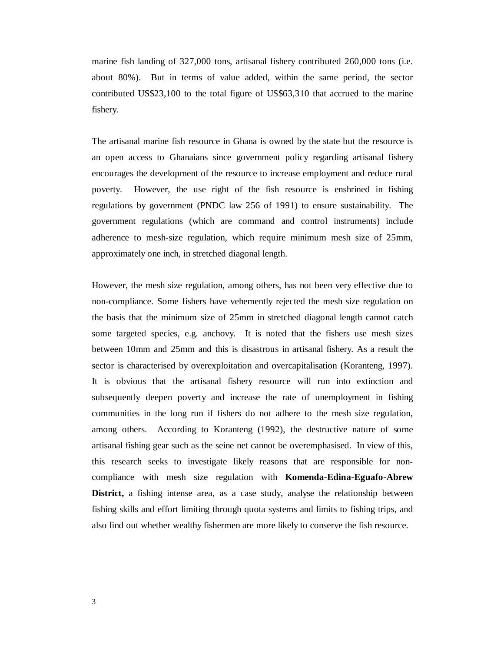marine fish landing of 327,000 tons, artisanal fishery contributed 260,000 tons (i.e. about 80%). But in terms of value added, within the same period, the sector contributed US\$23,100 to the total figure of US\$63,310 that accrued to the marine fishery.

The artisanal marine fish resource in Ghana is owned by the state but the resource is an open access to Ghanaians since government policy regarding artisanal fishery encourages the development of the resource to increase employment and reduce rural poverty. However, the use right of the fish resource is enshrined in fishing regulations by government (PNDC law 256 of 1991) to ensure sustainability. The government regulations (which are command and control instruments) include adherence to mesh-size regulation, which require minimum mesh size of 25mm, approximately one inch, in stretched diagonal length.

However, the mesh size regulation, among others, has not been very effective due to non-compliance. Some fishers have vehemently rejected the mesh size regulation on the basis that the minimum size of 25mm in stretched diagonal length cannot catch some targeted species, e.g. anchovy. It is noted that the fishers use mesh sizes between 10mm and 25mm and this is disastrous in artisanal fishery. As a result the sector is characterised by overexploitation and overcapitalisation (Koranteng, 1997). It is obvious that the artisanal fishery resource will run into extinction and subsequently deepen poverty and increase the rate of unemployment in fishing communities in the long run if fishers do not adhere to the mesh size regulation, among others. According to Koranteng (1992), the destructive nature of some artisanal fishing gear such as the seine net cannot be overemphasised. In view of this, this research seeks to investigate likely reasons that are responsible for noncompliance with mesh size regulation with **Komenda-Edina-Eguafo-Abrew District,** a fishing intense area, as a case study, analyse the relationship between fishing skills and effort limiting through quota systems and limits to fishing trips, and also find out whether wealthy fishermen are more likely to conserve the fish resource.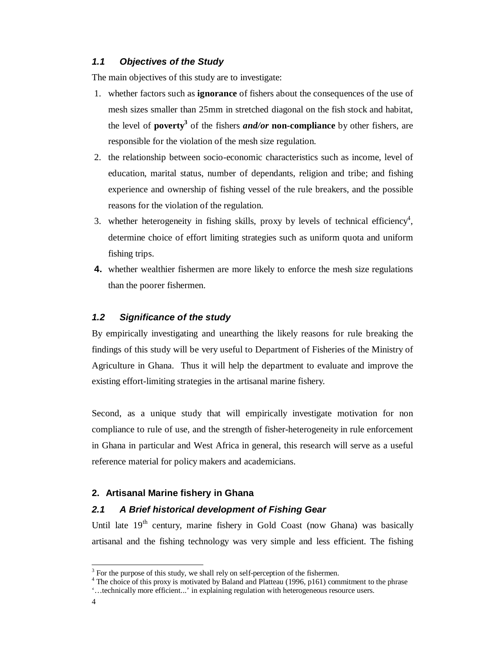## *1.1 Objectives of the Study*

The main objectives of this study are to investigate:

- 1. whether factors such as **ignorance** of fishers about the consequences of the use of mesh sizes smaller than 25mm in stretched diagonal on the fish stock and habitat, the level of **poverty**<sup>3</sup> of the fishers *and/or* non-compliance by other fishers, are responsible for the violation of the mesh size regulation.
- 2. the relationship between socio-economic characteristics such as income, level of education, marital status, number of dependants, religion and tribe; and fishing experience and ownership of fishing vessel of the rule breakers, and the possible reasons for the violation of the regulation.
- 3. whether heterogeneity in fishing skills, proxy by levels of technical efficiency<sup>4</sup>, determine choice of effort limiting strategies such as uniform quota and uniform fishing trips.
- **4.** whether wealthier fishermen are more likely to enforce the mesh size regulations than the poorer fishermen.

## *1.2 Significance of the study*

By empirically investigating and unearthing the likely reasons for rule breaking the findings of this study will be very useful to Department of Fisheries of the Ministry of Agriculture in Ghana. Thus it will help the department to evaluate and improve the existing effort-limiting strategies in the artisanal marine fishery.

Second, as a unique study that will empirically investigate motivation for non compliance to rule of use, and the strength of fisher-heterogeneity in rule enforcement in Ghana in particular and West Africa in general, this research will serve as a useful reference material for policy makers and academicians.

## **2. Artisanal Marine fishery in Ghana**

## *2.1 A Brief historical development of Fishing Gear*

Until late  $19<sup>th</sup>$  century, marine fishery in Gold Coast (now Ghana) was basically artisanal and the fishing technology was very simple and less efficient. The fishing

**.** 

<sup>3</sup> For the purpose of this study, we shall rely on self-perception of the fishermen.

<sup>&</sup>lt;sup>4</sup> The choice of this proxy is motivated by Baland and Platteau (1996, p161) commitment to the phrase

<sup>&#</sup>x27;…technically more efficient...' in explaining regulation with heterogeneous resource users.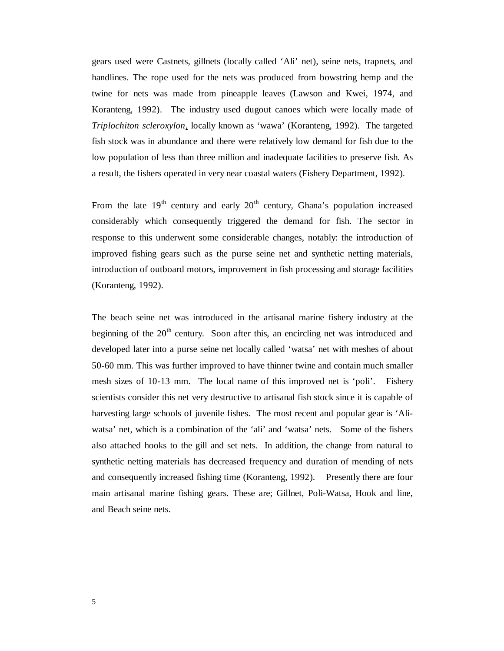gears used were Castnets, gillnets (locally called 'Ali' net), seine nets, trapnets, and handlines. The rope used for the nets was produced from bowstring hemp and the twine for nets was made from pineapple leaves (Lawson and Kwei, 1974, and Koranteng, 1992). The industry used dugout canoes which were locally made of *Triplochiton scleroxylon*, locally known as 'wawa' (Koranteng, 1992). The targeted fish stock was in abundance and there were relatively low demand for fish due to the low population of less than three million and inadequate facilities to preserve fish. As a result, the fishers operated in very near coastal waters (Fishery Department, 1992).

From the late  $19<sup>th</sup>$  century and early  $20<sup>th</sup>$  century, Ghana's population increased considerably which consequently triggered the demand for fish. The sector in response to this underwent some considerable changes, notably: the introduction of improved fishing gears such as the purse seine net and synthetic netting materials, introduction of outboard motors, improvement in fish processing and storage facilities (Koranteng, 1992).

The beach seine net was introduced in the artisanal marine fishery industry at the beginning of the  $20<sup>th</sup>$  century. Soon after this, an encircling net was introduced and developed later into a purse seine net locally called 'watsa' net with meshes of about 50-60 mm. This was further improved to have thinner twine and contain much smaller mesh sizes of 10-13 mm. The local name of this improved net is 'poli'. Fishery scientists consider this net very destructive to artisanal fish stock since it is capable of harvesting large schools of juvenile fishes. The most recent and popular gear is 'Aliwatsa' net, which is a combination of the 'ali' and 'watsa' nets. Some of the fishers also attached hooks to the gill and set nets. In addition, the change from natural to synthetic netting materials has decreased frequency and duration of mending of nets and consequently increased fishing time (Koranteng, 1992). Presently there are four main artisanal marine fishing gears. These are; Gillnet, Poli-Watsa, Hook and line, and Beach seine nets.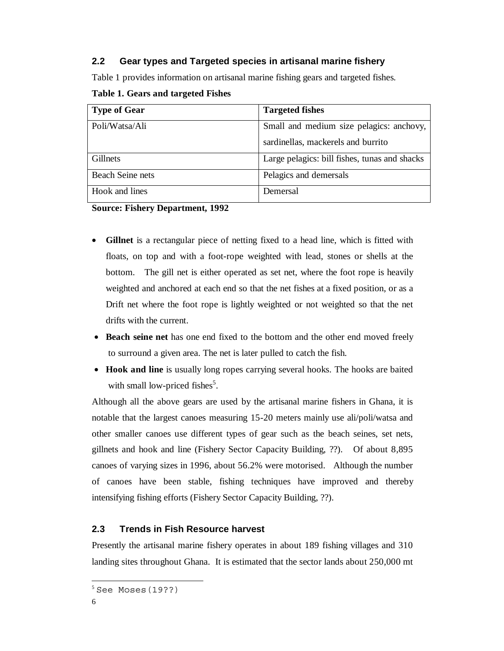## **2.2 Gear types and Targeted species in artisanal marine fishery**

Table 1 provides information on artisanal marine fishing gears and targeted fishes.

| <b>Type of Gear</b>     | <b>Targeted fishes</b>                        |
|-------------------------|-----------------------------------------------|
| Poli/Watsa/Ali          | Small and medium size pelagics: anchovy,      |
|                         | sardinellas, mackerels and burrito            |
| Gillnets                | Large pelagics: bill fishes, tunas and shacks |
| <b>Beach Seine nets</b> | Pelagics and demersals                        |
| Hook and lines          | Demersal                                      |

### **Table 1. Gears and targeted Fishes**

**Source: Fishery Department, 1992** 

- **Gillnet** is a rectangular piece of netting fixed to a head line, which is fitted with floats, on top and with a foot-rope weighted with lead, stones or shells at the bottom. The gill net is either operated as set net, where the foot rope is heavily weighted and anchored at each end so that the net fishes at a fixed position, or as a Drift net where the foot rope is lightly weighted or not weighted so that the net drifts with the current.
- **Beach seine net** has one end fixed to the bottom and the other end moved freely to surround a given area. The net is later pulled to catch the fish.
- **Hook and line** is usually long ropes carrying several hooks. The hooks are baited with small low-priced fishes<sup>5</sup>.

Although all the above gears are used by the artisanal marine fishers in Ghana, it is notable that the largest canoes measuring 15-20 meters mainly use ali/poli/watsa and other smaller canoes use different types of gear such as the beach seines, set nets, gillnets and hook and line (Fishery Sector Capacity Building, ??). Of about 8,895 canoes of varying sizes in 1996, about 56.2% were motorised. Although the number of canoes have been stable, fishing techniques have improved and thereby intensifying fishing efforts (Fishery Sector Capacity Building, ??).

## **2.3 Trends in Fish Resource harvest**

Presently the artisanal marine fishery operates in about 189 fishing villages and 310 landing sites throughout Ghana. It is estimated that the sector lands about 250,000 mt

**.** 

 $5$  See Moses  $(19??)$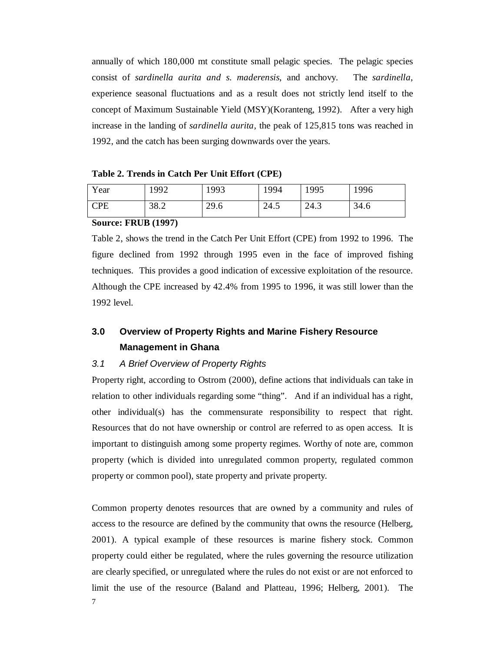annually of which 180,000 mt constitute small pelagic species. The pelagic species consist of *sardinella aurita and s. maderensis*, and anchovy. The *sardinella*, experience seasonal fluctuations and as a result does not strictly lend itself to the concept of Maximum Sustainable Yield (MSY)(Koranteng, 1992). After a very high increase in the landing of *sardinella aurita,* the peak of 125,815 tons was reached in 1992, and the catch has been surging downwards over the years.

**Table 2. Trends in Catch Per Unit Effort (CPE)** 

| Year | 1992 | 1993 | '994 | 1995 | 1996 |
|------|------|------|------|------|------|
| CPE  | 38.2 | 29.6 | 24.5 | 24.3 | 34.6 |

#### **Source: FRUB (1997)**

Table 2, shows the trend in the Catch Per Unit Effort (CPE) from 1992 to 1996. The figure declined from 1992 through 1995 even in the face of improved fishing techniques. This provides a good indication of excessive exploitation of the resource. Although the CPE increased by 42.4% from 1995 to 1996, it was still lower than the 1992 level.

## **3.0 Overview of Property Rights and Marine Fishery Resource Management in Ghana**

## *3.1 A Brief Overview of Property Rights*

Property right, according to Ostrom (2000), define actions that individuals can take in relation to other individuals regarding some "thing". And if an individual has a right, other individual(s) has the commensurate responsibility to respect that right. Resources that do not have ownership or control are referred to as open access. It is important to distinguish among some property regimes. Worthy of note are, common property (which is divided into unregulated common property, regulated common property or common pool), state property and private property.

Common property denotes resources that are owned by a community and rules of access to the resource are defined by the community that owns the resource (Helberg, 2001). A typical example of these resources is marine fishery stock. Common property could either be regulated, where the rules governing the resource utilization are clearly specified, or unregulated where the rules do not exist or are not enforced to limit the use of the resource (Baland and Platteau, 1996; Helberg, 2001). The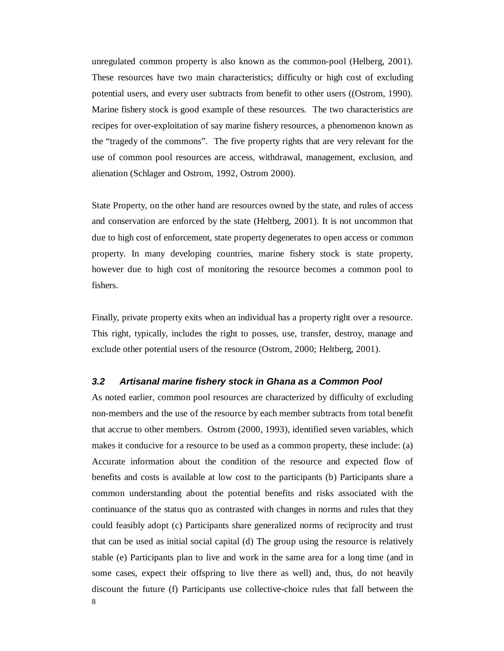unregulated common property is also known as the common-pool (Helberg, 2001). These resources have two main characteristics; difficulty or high cost of excluding potential users, and every user subtracts from benefit to other users ((Ostrom, 1990). Marine fishery stock is good example of these resources. The two characteristics are recipes for over-exploitation of say marine fishery resources, a phenomenon known as the "tragedy of the commons". The five property rights that are very relevant for the use of common pool resources are access, withdrawal, management, exclusion, and alienation (Schlager and Ostrom, 1992, Ostrom 2000).

State Property, on the other hand are resources owned by the state, and rules of access and conservation are enforced by the state (Heltberg, 2001). It is not uncommon that due to high cost of enforcement, state property degenerates to open access or common property. In many developing countries, marine fishery stock is state property, however due to high cost of monitoring the resource becomes a common pool to fishers.

Finally, private property exits when an individual has a property right over a resource. This right, typically, includes the right to posses, use, transfer, destroy, manage and exclude other potential users of the resource (Ostrom, 2000; Heltberg, 2001).

#### *3.2 Artisanal marine fishery stock in Ghana as a Common Pool*

8 As noted earlier, common pool resources are characterized by difficulty of excluding non-members and the use of the resource by each member subtracts from total benefit that accrue to other members. Ostrom (2000, 1993), identified seven variables, which makes it conducive for a resource to be used as a common property, these include: (a) Accurate information about the condition of the resource and expected flow of benefits and costs is available at low cost to the participants (b) Participants share a common understanding about the potential benefits and risks associated with the continuance of the status quo as contrasted with changes in norms and rules that they could feasibly adopt (c) Participants share generalized norms of reciprocity and trust that can be used as initial social capital (d) The group using the resource is relatively stable (e) Participants plan to live and work in the same area for a long time (and in some cases, expect their offspring to live there as well) and, thus, do not heavily discount the future (f) Participants use collective-choice rules that fall between the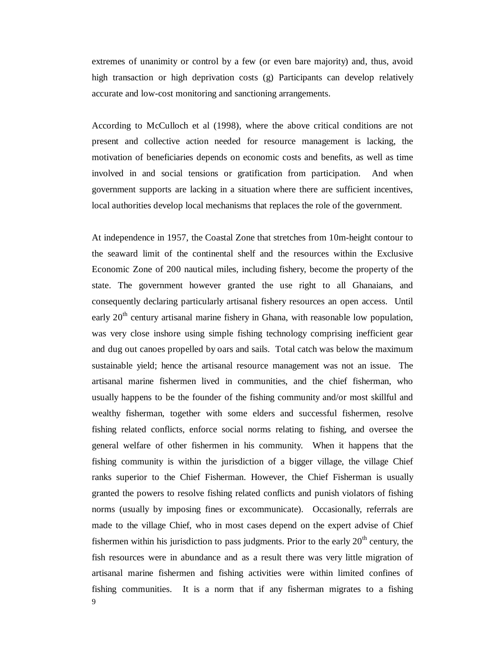extremes of unanimity or control by a few (or even bare majority) and, thus, avoid high transaction or high deprivation costs (g) Participants can develop relatively accurate and low-cost monitoring and sanctioning arrangements.

According to McCulloch et al (1998), where the above critical conditions are not present and collective action needed for resource management is lacking, the motivation of beneficiaries depends on economic costs and benefits, as well as time involved in and social tensions or gratification from participation. And when government supports are lacking in a situation where there are sufficient incentives, local authorities develop local mechanisms that replaces the role of the government.

At independence in 1957, the Coastal Zone that stretches from 10m-height contour to the seaward limit of the continental shelf and the resources within the Exclusive Economic Zone of 200 nautical miles, including fishery, become the property of the state. The government however granted the use right to all Ghanaians, and consequently declaring particularly artisanal fishery resources an open access. Until early  $20<sup>th</sup>$  century artisanal marine fishery in Ghana, with reasonable low population, was very close inshore using simple fishing technology comprising inefficient gear and dug out canoes propelled by oars and sails. Total catch was below the maximum sustainable yield; hence the artisanal resource management was not an issue. The artisanal marine fishermen lived in communities, and the chief fisherman, who usually happens to be the founder of the fishing community and/or most skillful and wealthy fisherman, together with some elders and successful fishermen, resolve fishing related conflicts, enforce social norms relating to fishing, and oversee the general welfare of other fishermen in his community. When it happens that the fishing community is within the jurisdiction of a bigger village, the village Chief ranks superior to the Chief Fisherman. However, the Chief Fisherman is usually granted the powers to resolve fishing related conflicts and punish violators of fishing norms (usually by imposing fines or excommunicate). Occasionally, referrals are made to the village Chief, who in most cases depend on the expert advise of Chief fishermen within his jurisdiction to pass judgments. Prior to the early  $20<sup>th</sup>$  century, the fish resources were in abundance and as a result there was very little migration of artisanal marine fishermen and fishing activities were within limited confines of fishing communities. It is a norm that if any fisherman migrates to a fishing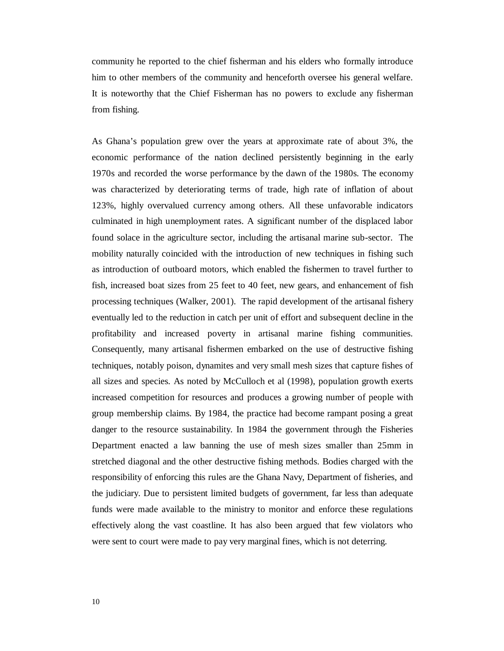community he reported to the chief fisherman and his elders who formally introduce him to other members of the community and henceforth oversee his general welfare. It is noteworthy that the Chief Fisherman has no powers to exclude any fisherman from fishing.

As Ghana's population grew over the years at approximate rate of about 3%, the economic performance of the nation declined persistently beginning in the early 1970s and recorded the worse performance by the dawn of the 1980s. The economy was characterized by deteriorating terms of trade, high rate of inflation of about 123%, highly overvalued currency among others. All these unfavorable indicators culminated in high unemployment rates. A significant number of the displaced labor found solace in the agriculture sector, including the artisanal marine sub-sector. The mobility naturally coincided with the introduction of new techniques in fishing such as introduction of outboard motors, which enabled the fishermen to travel further to fish, increased boat sizes from 25 feet to 40 feet, new gears, and enhancement of fish processing techniques (Walker, 2001). The rapid development of the artisanal fishery eventually led to the reduction in catch per unit of effort and subsequent decline in the profitability and increased poverty in artisanal marine fishing communities. Consequently, many artisanal fishermen embarked on the use of destructive fishing techniques, notably poison, dynamites and very small mesh sizes that capture fishes of all sizes and species. As noted by McCulloch et al (1998), population growth exerts increased competition for resources and produces a growing number of people with group membership claims. By 1984, the practice had become rampant posing a great danger to the resource sustainability. In 1984 the government through the Fisheries Department enacted a law banning the use of mesh sizes smaller than 25mm in stretched diagonal and the other destructive fishing methods. Bodies charged with the responsibility of enforcing this rules are the Ghana Navy, Department of fisheries, and the judiciary. Due to persistent limited budgets of government, far less than adequate funds were made available to the ministry to monitor and enforce these regulations effectively along the vast coastline. It has also been argued that few violators who were sent to court were made to pay very marginal fines, which is not deterring.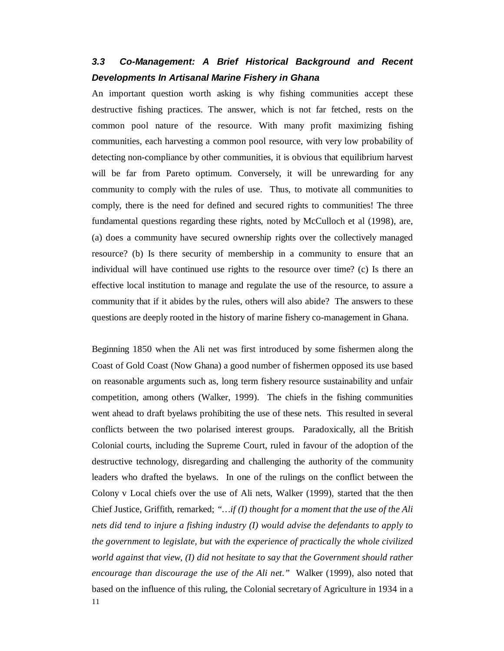## *3.3 Co-Management: A Brief Historical Background and Recent Developments In Artisanal Marine Fishery in Ghana*

An important question worth asking is why fishing communities accept these destructive fishing practices. The answer, which is not far fetched, rests on the common pool nature of the resource. With many profit maximizing fishing communities, each harvesting a common pool resource, with very low probability of detecting non-compliance by other communities, it is obvious that equilibrium harvest will be far from Pareto optimum. Conversely, it will be unrewarding for any community to comply with the rules of use. Thus, to motivate all communities to comply, there is the need for defined and secured rights to communities! The three fundamental questions regarding these rights, noted by McCulloch et al (1998), are, (a) does a community have secured ownership rights over the collectively managed resource? (b) Is there security of membership in a community to ensure that an individual will have continued use rights to the resource over time? (c) Is there an effective local institution to manage and regulate the use of the resource, to assure a community that if it abides by the rules, others will also abide? The answers to these questions are deeply rooted in the history of marine fishery co-management in Ghana.

11 Beginning 1850 when the Ali net was first introduced by some fishermen along the Coast of Gold Coast (Now Ghana) a good number of fishermen opposed its use based on reasonable arguments such as, long term fishery resource sustainability and unfair competition, among others (Walker, 1999). The chiefs in the fishing communities went ahead to draft byelaws prohibiting the use of these nets. This resulted in several conflicts between the two polarised interest groups. Paradoxically, all the British Colonial courts, including the Supreme Court, ruled in favour of the adoption of the destructive technology, disregarding and challenging the authority of the community leaders who drafted the byelaws. In one of the rulings on the conflict between the Colony v Local chiefs over the use of Ali nets, Walker (1999), started that the then Chief Justice, Griffith, remarked; *"…if (I) thought for a moment that the use of the Ali nets did tend to injure a fishing industry (I) would advise the defendants to apply to the government to legislate, but with the experience of practically the whole civilized world against that view, (I) did not hesitate to say that the Government should rather encourage than discourage the use of the Ali net."* Walker (1999), also noted that based on the influence of this ruling, the Colonial secretary of Agriculture in 1934 in a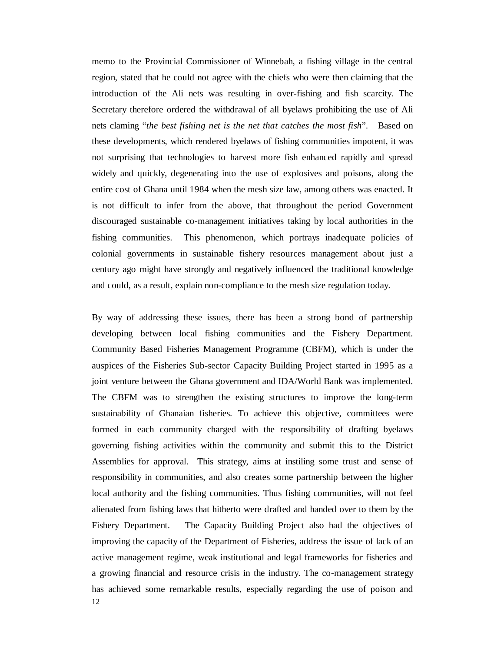memo to the Provincial Commissioner of Winnebah, a fishing village in the central region, stated that he could not agree with the chiefs who were then claiming that the introduction of the Ali nets was resulting in over-fishing and fish scarcity. The Secretary therefore ordered the withdrawal of all byelaws prohibiting the use of Ali nets claming "*the best fishing net is the net that catches the most fish*". Based on these developments, which rendered byelaws of fishing communities impotent, it was not surprising that technologies to harvest more fish enhanced rapidly and spread widely and quickly, degenerating into the use of explosives and poisons, along the entire cost of Ghana until 1984 when the mesh size law, among others was enacted. It is not difficult to infer from the above, that throughout the period Government discouraged sustainable co-management initiatives taking by local authorities in the fishing communities. This phenomenon, which portrays inadequate policies of colonial governments in sustainable fishery resources management about just a century ago might have strongly and negatively influenced the traditional knowledge and could, as a result, explain non-compliance to the mesh size regulation today.

12 By way of addressing these issues, there has been a strong bond of partnership developing between local fishing communities and the Fishery Department. Community Based Fisheries Management Programme (CBFM), which is under the auspices of the Fisheries Sub-sector Capacity Building Project started in 1995 as a joint venture between the Ghana government and IDA/World Bank was implemented. The CBFM was to strengthen the existing structures to improve the long-term sustainability of Ghanaian fisheries. To achieve this objective, committees were formed in each community charged with the responsibility of drafting byelaws governing fishing activities within the community and submit this to the District Assemblies for approval. This strategy, aims at instiling some trust and sense of responsibility in communities, and also creates some partnership between the higher local authority and the fishing communities. Thus fishing communities, will not feel alienated from fishing laws that hitherto were drafted and handed over to them by the Fishery Department. The Capacity Building Project also had the objectives of improving the capacity of the Department of Fisheries, address the issue of lack of an active management regime, weak institutional and legal frameworks for fisheries and a growing financial and resource crisis in the industry. The co-management strategy has achieved some remarkable results, especially regarding the use of poison and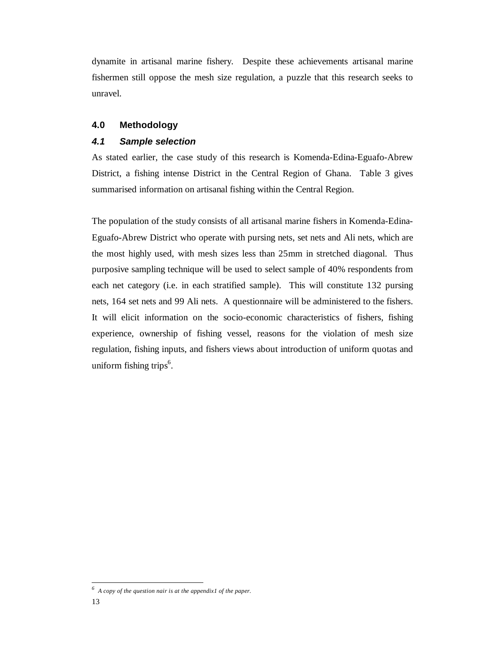dynamite in artisanal marine fishery. Despite these achievements artisanal marine fishermen still oppose the mesh size regulation, a puzzle that this research seeks to unravel.

## **4.0 Methodology**

#### *4.1 Sample selection*

As stated earlier, the case study of this research is Komenda-Edina-Eguafo-Abrew District, a fishing intense District in the Central Region of Ghana. Table 3 gives summarised information on artisanal fishing within the Central Region.

The population of the study consists of all artisanal marine fishers in Komenda-Edina-Eguafo-Abrew District who operate with pursing nets, set nets and Ali nets, which are the most highly used, with mesh sizes less than 25mm in stretched diagonal. Thus purposive sampling technique will be used to select sample of 40% respondents from each net category (i.e. in each stratified sample). This will constitute 132 pursing nets, 164 set nets and 99 Ali nets. A questionnaire will be administered to the fishers. It will elicit information on the socio-economic characteristics of fishers, fishing experience, ownership of fishing vessel, reasons for the violation of mesh size regulation, fishing inputs, and fishers views about introduction of uniform quotas and uniform fishing trips<sup>6</sup>.

<u>.</u>

*<sup>6</sup> A copy of the question nair is at the appendix1 of the paper.*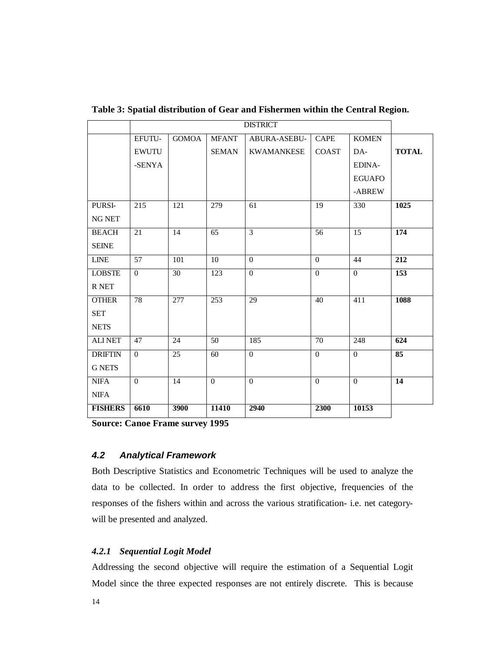|                | <b>DISTRICT</b> |              |                  |                   |                |               |                  |
|----------------|-----------------|--------------|------------------|-------------------|----------------|---------------|------------------|
|                | EFUTU-          | <b>GOMOA</b> | <b>MFANT</b>     | ABURA-ASEBU-      | <b>CAPE</b>    | <b>KOMEN</b>  |                  |
|                | <b>EWUTU</b>    |              | <b>SEMAN</b>     | <b>KWAMANKESE</b> | <b>COAST</b>   | DA-           | <b>TOTAL</b>     |
|                | -SENYA          |              |                  |                   |                | EDINA-        |                  |
|                |                 |              |                  |                   |                | <b>EGUAFO</b> |                  |
|                |                 |              |                  |                   |                | -ABREW        |                  |
| PURSI-         | 215             | 121          | 279              | 61                | 19             | 330           | 1025             |
| <b>NG NET</b>  |                 |              |                  |                   |                |               |                  |
| <b>BEACH</b>   | 21              | 14           | 65               | $\overline{3}$    | 56             | 15            | 174              |
| <b>SEINE</b>   |                 |              |                  |                   |                |               |                  |
| <b>LINE</b>    | 57              | 101          | 10               | $\Omega$          | $\Omega$       | 44            | 212              |
| <b>LOBSTE</b>  | $\Omega$        | 30           | 123              | $\Omega$          | $\Omega$       | $\theta$      | $\overline{153}$ |
| R NET          |                 |              |                  |                   |                |               |                  |
| <b>OTHER</b>   | 78              | 277          | $\overline{253}$ | $\overline{29}$   | 40             | 411           | 1088             |
| <b>SET</b>     |                 |              |                  |                   |                |               |                  |
| <b>NETS</b>    |                 |              |                  |                   |                |               |                  |
| <b>ALINET</b>  | 47              | 24           | 50               | 185               | 70             | 248           | $\overline{624}$ |
| <b>DRIFTIN</b> | $\overline{0}$  | 25           | 60               | $\Omega$          | $\overline{0}$ | $\Omega$      | 85               |
| <b>G NETS</b>  |                 |              |                  |                   |                |               |                  |
| <b>NIFA</b>    | $\Omega$        | 14           | $\overline{0}$   | $\Omega$          | $\mathbf{0}$   | $\theta$      | 14               |
| <b>NIFA</b>    |                 |              |                  |                   |                |               |                  |
| <b>FISHERS</b> | 6610            | 3900         | 11410            | 2940              | 2300           | 10153         |                  |

**Table 3: Spatial distribution of Gear and Fishermen within the Central Region.** 

**Source: Canoe Frame survey 1995**

## *4.2 Analytical Framework*

Both Descriptive Statistics and Econometric Techniques will be used to analyze the data to be collected. In order to address the first objective, frequencies of the responses of the fishers within and across the various stratification- i.e. net categorywill be presented and analyzed.

## *4.2.1 Sequential Logit Model*

Addressing the second objective will require the estimation of a Sequential Logit Model since the three expected responses are not entirely discrete. This is because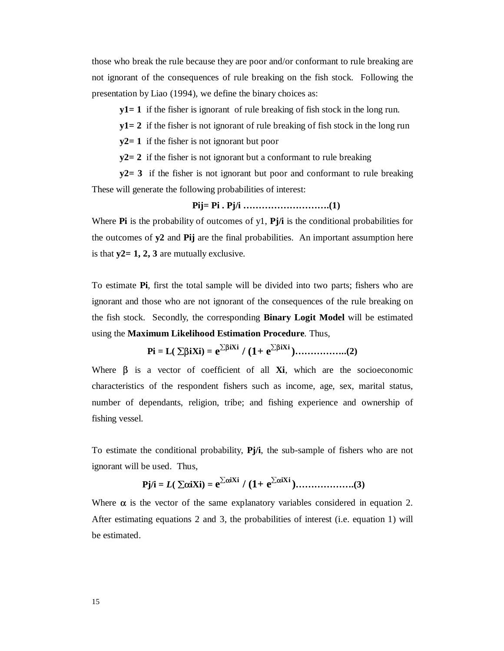those who break the rule because they are poor and/or conformant to rule breaking are not ignorant of the consequences of rule breaking on the fish stock. Following the presentation by Liao (1994), we define the binary choices as:

**y1= 1** if the fisher is ignorant of rule breaking of fish stock in the long run.

**y1= 2** if the fisher is not ignorant of rule breaking of fish stock in the long run

**y2= 1** if the fisher is not ignorant but poor

**y2= 2** if the fisher is not ignorant but a conformant to rule breaking

**y2= 3** if the fisher is not ignorant but poor and conformant to rule breaking These will generate the following probabilities of interest:

**Pij= Pi . Pj/i ……………………….(1)** 

Where **Pi** is the probability of outcomes of y1, **Pj/i** is the conditional probabilities for the outcomes of **y2** and **Pij** are the final probabilities. An important assumption here is that **y2= 1, 2, 3** are mutually exclusive.

To estimate **Pi**, first the total sample will be divided into two parts; fishers who are ignorant and those who are not ignorant of the consequences of the rule breaking on the fish stock. Secondly, the corresponding **Binary Logit Model** will be estimated using the **Maximum Likelihood Estimation Procedure**. Thus,

**Pi = L(** ∑β**iXi) = e**∑<sup>β</sup>**iXi / (1+ e**∑<sup>β</sup>**iXi )……………..(2)** 

Where β is a vector of coefficient of all **Xi**, which are the socioeconomic characteristics of the respondent fishers such as income, age, sex, marital status, number of dependants, religion, tribe; and fishing experience and ownership of fishing vessel.

To estimate the conditional probability, **Pj/i**, the sub-sample of fishers who are not ignorant will be used. Thus,

 **Pj/i =** *L***(** ∑α**iXi) = e** <sup>∑</sup><sup>α</sup>**iXi / (1+ e**∑<sup>α</sup>**iXi )……………….(3)** 

Where  $\alpha$  is the vector of the same explanatory variables considered in equation 2. After estimating equations 2 and 3, the probabilities of interest (i.e. equation 1) will be estimated.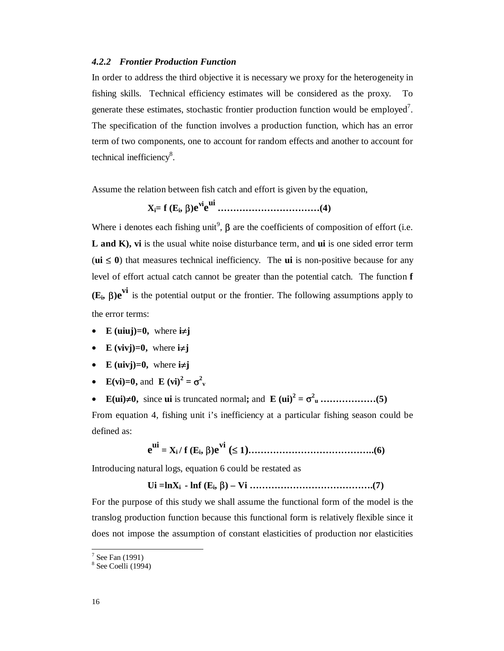#### *4.2.2 Frontier Production Function*

In order to address the third objective it is necessary we proxy for the heterogeneity in fishing skills. Technical efficiency estimates will be considered as the proxy. To generate these estimates, stochastic frontier production function would be employed<sup>7</sup>. The specification of the function involves a production function, which has an error term of two components, one to account for random effects and another to account for technical inefficiency<sup>8</sup>.

Assume the relation between fish catch and effort is given by the equation,

**Xi= f (Ei,** β**)evie ui ……………………………(4)** 

Where i denotes each fishing unit<sup>9</sup>,  $\beta$  are the coefficients of composition of effort (i.e. **L and K), vi** is the usual white noise disturbance term, and **ui** is one sided error term ( $\mathbf{u} \leq 0$ ) that measures technical inefficiency. The **ui** is non-positive because for any level of effort actual catch cannot be greater than the potential catch. The function **f (Ei,** β**)e vi** is the potential output or the frontier. The following assumptions apply to the error terms:

- **E** (uiuj)=0, where  $i \neq j$
- **E** (vivj)=0, where  $i \neq j$
- **E** (uivj)=0, where  $i \neq j$
- **E**(**vi**)=**0**, and **E** (**vi**)<sup>2</sup> =  $\sigma^2$ <sup>v</sup>
- **E(ui)**≠**0,** since **ui** is truncated normal**;** and **E (ui)<sup>2</sup> =** σ**<sup>2</sup> u ………………(5)**

From equation 4, fishing unit i's inefficiency at a particular fishing season could be defined as:

 **e ui = Xi / f (Ei,** β**)e vi (**≤ **1)…………………………………..(6)** 

Introducing natural logs, equation 6 could be restated as

 **Ui =lnXi - lnf (Ei,** β**) – Vi ………………………………….(7)** 

For the purpose of this study we shall assume the functional form of the model is the translog production function because this functional form is relatively flexible since it does not impose the assumption of constant elasticities of production nor elasticities

 $\frac{1}{\sqrt{7}}$  See Fan (1991)

<sup>8</sup> See Coelli (1994)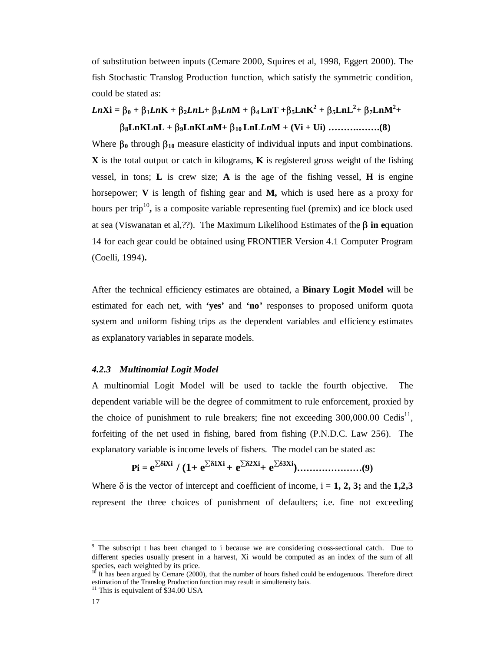of substitution between inputs (Cemare 2000, Squires et al, 1998, Eggert 2000). The fish Stochastic Translog Production function, which satisfy the symmetric condition, could be stated as:

## *Ln***Xi** =  $\beta_0 + \beta_1 L nK + \beta_2 L nL + \beta_3 L nM + \beta_4 L nT + \beta_5 L nK^2 + \beta_5 L nL^2 + \beta_7 L nM^2 +$ β**8LnKLnL +** β**9LnKLnM+** β**10 LnL***Ln***M + (Vi + Ui) ……….…….(8)**

Where  $\beta_0$  through  $\beta_{10}$  measure elasticity of individual inputs and input combinations. **X** is the total output or catch in kilograms, **K** is registered gross weight of the fishing vessel, in tons; **L** is crew size; **A** is the age of the fishing vessel, **H** is engine horsepower; **V** is length of fishing gear and **M,** which is used here as a proxy for hours per trip<sup>10</sup>, is a composite variable representing fuel (premix) and ice block used at sea (Viswanatan et al,??). The Maximum Likelihood Estimates of the β **in e**quation 14 for each gear could be obtained using FRONTIER Version 4.1 Computer Program (Coelli, 1994)**.** 

After the technical efficiency estimates are obtained, a **Binary Logit Model** will be estimated for each net, with **'yes'** and **'no'** responses to proposed uniform quota system and uniform fishing trips as the dependent variables and efficiency estimates as explanatory variables in separate models.

## *4.2.3 Multinomial Logit Model*

A multinomial Logit Model will be used to tackle the fourth objective. The dependent variable will be the degree of commitment to rule enforcement, proxied by the choice of punishment to rule breakers; fine not exceeding  $300,000.00$  Cedis<sup>11</sup>, forfeiting of the net used in fishing, bared from fishing (P.N.D.C. Law 256). The explanatory variable is income levels of fishers. The model can be stated as:

**Pi = e** <sup>∑</sup><sup>δ</sup>**iXi / (1+ e**∑<sup>δ</sup>**1Xi + e**∑<sup>δ</sup>**2Xi+ e**∑<sup>δ</sup>**3Xi)…………………(9)** 

Where  $\delta$  is the vector of intercept and coefficient of income,  $i = 1, 2, 3$ ; and the **1,2,3** represent the three choices of punishment of defaulters; i.e. fine not exceeding

<sup>.&</sup>lt;br>9 <sup>9</sup> The subscript t has been changed to i because we are considering cross-sectional catch. Due to different species usually present in a harvest, Xi would be computed as an index of the sum of all species, each weighted by its price.

<sup>10</sup> It has been argued by Cemare (2000), that the number of hours fished could be endogenuous. Therefore direct estimation of the Translog Production function may result in simulteneity bais.

 $11$  This is equivalent of \$34.00 USA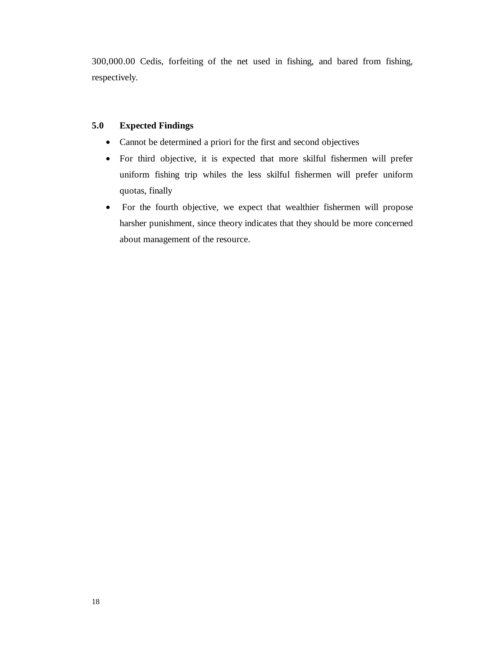300,000.00 Cedis, forfeiting of the net used in fishing, and bared from fishing, respectively.

## **5.0 Expected Findings**

- Cannot be determined a priori for the first and second objectives
- For third objective, it is expected that more skilful fishermen will prefer uniform fishing trip whiles the less skilful fishermen will prefer uniform quotas, finally
- For the fourth objective, we expect that wealthier fishermen will propose harsher punishment, since theory indicates that they should be more concerned about management of the resource.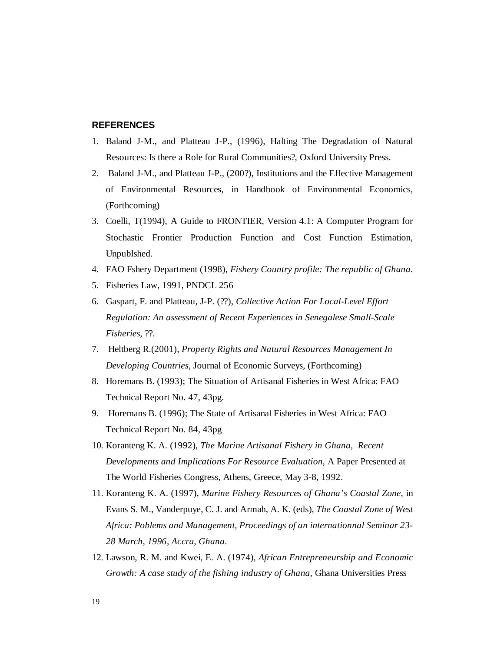#### **REFERENCES**

- 1. Baland J-M., and Platteau J-P., (1996), Halting The Degradation of Natural Resources: Is there a Role for Rural Communities?, Oxford University Press.
- 2. Baland J-M., and Platteau J-P., (200?), Institutions and the Effective Management of Environmental Resources, in Handbook of Environmental Economics, (Forthcoming)
- 3. Coelli, T(1994), A Guide to FRONTIER, Version 4.1: A Computer Program for Stochastic Frontier Production Function and Cost Function Estimation, Unpublshed.
- 4. FAO Fshery Department (1998), *Fishery Country profile: The republic of Ghana*.
- 5. Fisheries Law, 1991, PNDCL 256
- 6. Gaspart, F. and Platteau, J-P. (??), *Collective Action For Local-Level Effort Regulation: An assessment of Recent Experiences in Senegalese Small-Scale Fisheries*, ??.
- 7. Heltberg R.(2001), *Property Rights and Natural Resources Management In Developing Countries*, Journal of Economic Surveys, (Forthcoming)
- 8. Horemans B. (1993); The Situation of Artisanal Fisheries in West Africa: FAO Technical Report No. 47, 43pg.
- 9. Horemans B. (1996); The State of Artisanal Fisheries in West Africa: FAO Technical Report No. 84, 43pg
- 10. Koranteng K. A. (1992), *The Marine Artisanal Fishery in Ghana, Recent Developments and Implications For Resource Evaluation*, A Paper Presented at The World Fisheries Congress, Athens, Greece, May 3-8, 1992.
- 11. Koranteng K. A. (1997), *Marine Fishery Resources of Ghana's Coastal Zone*, in Evans S. M., Vanderpuye, C. J. and Armah, A. K. (eds), *The Coastal Zone of West Africa: Poblems and Management, Proceedings of an internationnal Seminar 23- 28 March, 1996, Accra, Ghana*.
- 12. Lawson, R. M. and Kwei, E. A. (1974), *African Entrepreneurship and Economic Growth: A case study of the fishing industry of Ghana*, Ghana Universities Press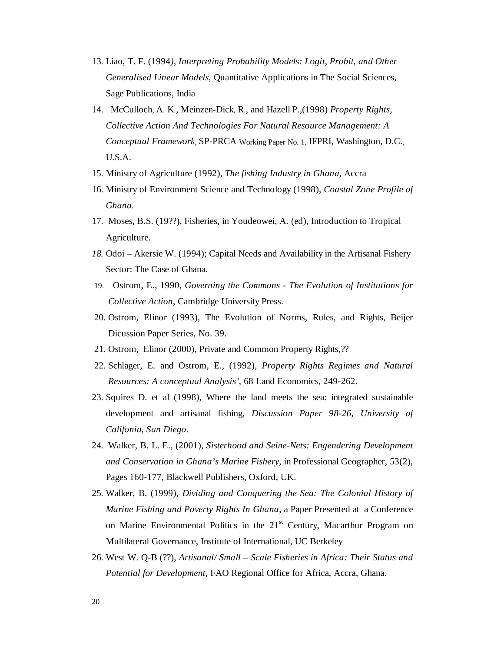- 13. Liao, T. F. (1994*), Interpreting Probability Models: Logit, Probit, and Other Generalised Linear Models*, Quantitative Applications in The Social Sciences, Sage Publications, India
- 14. McCulloch, A. K., Meinzen-Dick, R., and Hazell P.,(1998) *Property Rights, Collective Action And Technologies For Natural Resource Management: A Conceptual Framework*, SP-PRCA Working Paper No. 1, IFPRI, Washington, D.C., U.S.A.
- 15. Ministry of Agriculture (1992), *The fishing Industry in Ghana*, Accra
- 16. Ministry of Environment Science and Technology (1998), *Coastal Zone Profile of Ghana*.
- 17. Moses, B.S. (19??), Fisheries, in Youdeowei, A. (ed), Introduction to Tropical Agriculture.
- *18.* Odoi Akersie W. (1994); Capital Needs and Availability in the Artisanal Fishery Sector: The Case of Ghana*.*
- 19. Ostrom, E., 1990, *Governing the Commons The Evolution of Institutions for Collective Action*, Cambridge University Press.
- 20. Ostrom, Elinor (1993), The Evolution of Norms, Rules, and Rights, Beijer Dicussion Paper Series, No. 39.
- 21. Ostrom, Elinor (2000), Private and Common Property Rights,??
- 22. Schlager, E. and Ostrom, E., (1992), *Property Rights Regimes and Natural Resources: A conceptual Analysis'*, 68 Land Economics, 249-262.
- 23. Squires D. et al (1998), Where the land meets the sea: integrated sustainable development and artisanal fishing, *Discussion Paper 98-26, University of Califonia, San Diego*.
- 24. Walker, B. L. E., (2001), *Sisterhood and Seine-Nets: Engendering Development and Conservation in Ghana's Marine Fishery*, in Professional Geographer, 53(2), Pages 160-177, Blackwell Publishers, Oxford, UK.
- 25. Walker, B. (1999), *Dividing and Conquering the Sea: The Colonial History of Marine Fishing and Poverty Rights In Ghana*, a Paper Presented at a Conference on Marine Environmental Politics in the  $21<sup>st</sup>$  Century, Macarthur Program on Multilateral Governance, Institute of International, UC Berkeley
- 26. West W. Q-B (??), *Artisanal/ Small Scale Fisheries in Africa: Their Status and Potential for Development*, FAO Regional Office for Africa, Accra, Ghana.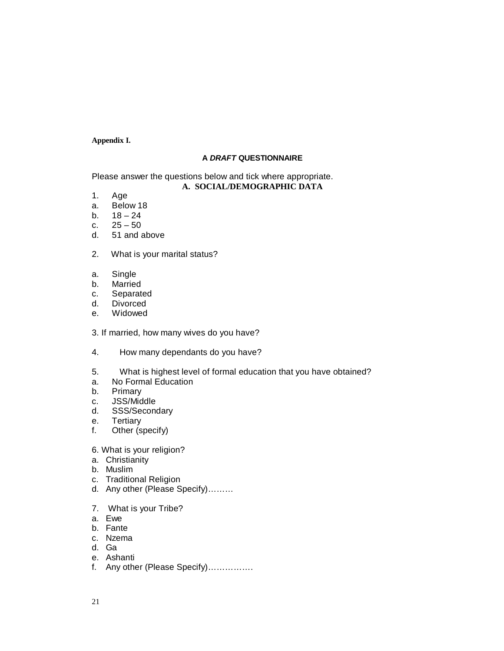#### **Appendix I.**

#### **A** *DRAFT* **QUESTIONNAIRE**

#### Please answer the questions below and tick where appropriate. **A. SOCIAL/DEMOGRAPHIC DATA**

- 1. Age
- a. Below 18
- $h = 18 24$
- c.  $25 50$ <br>d.  $51$  and a
- 51 and above
- 2. What is your marital status?
- a. Single
- b. Married
- c. Separated
- d. Divorced
- e. Widowed
- 3. If married, how many wives do you have?
- 4. How many dependants do you have?
- 5. What is highest level of formal education that you have obtained?
- a. No Formal Education
- b. Primary
- c. JSS/Middle
- d. SSS/Secondary
- e. Tertiary
- f. Other (specify)
- 6. What is your religion?
- a. Christianity
- b. Muslim
- c. Traditional Religion
- d. Any other (Please Specify)………
- 7. What is your Tribe?
- a. Ewe
- b. Fante
- c. Nzema
- d. Ga
- e. Ashanti
- f. Any other (Please Specify)…………….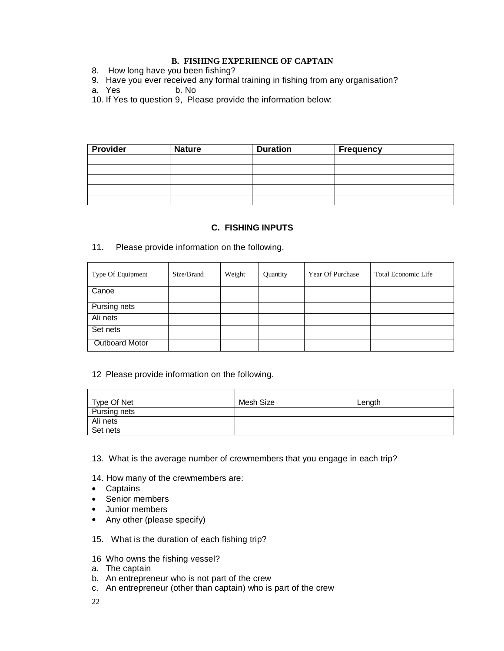### **B. FISHING EXPERIENCE OF CAPTAIN**

- 8. How long have you been fishing?
- 9. Have you ever received any formal training in fishing from any organisation?<br>a. Yes b. No
- a. Yes
- 10. If Yes to question 9, Please provide the information below:

| <b>Provider</b> | <b>Nature</b> | <b>Duration</b> | <b>Frequency</b> |
|-----------------|---------------|-----------------|------------------|
|                 |               |                 |                  |
|                 |               |                 |                  |
|                 |               |                 |                  |
|                 |               |                 |                  |
|                 |               |                 |                  |

## **C. FISHING INPUTS**

11. Please provide information on the following.

| Type Of Equipment     | Size/Brand | Weight | Quantity | Year Of Purchase | <b>Total Economic Life</b> |
|-----------------------|------------|--------|----------|------------------|----------------------------|
| Canoe                 |            |        |          |                  |                            |
| Pursing nets          |            |        |          |                  |                            |
| Ali nets              |            |        |          |                  |                            |
| Set nets              |            |        |          |                  |                            |
| <b>Outboard Motor</b> |            |        |          |                  |                            |

#### 12 Please provide information on the following.

| Type Of Net  | Mesh Size | Length |
|--------------|-----------|--------|
| Pursing nets |           |        |
| Ali nets     |           |        |
| Set nets     |           |        |

- 13. What is the average number of crewmembers that you engage in each trip?
- 14. How many of the crewmembers are:
- Captains
- Senior members
- Junior members
- Any other (please specify)
- 15. What is the duration of each fishing trip?
- 16 Who owns the fishing vessel?
- a. The captain
- b. An entrepreneur who is not part of the crew
- c. An entrepreneur (other than captain) who is part of the crew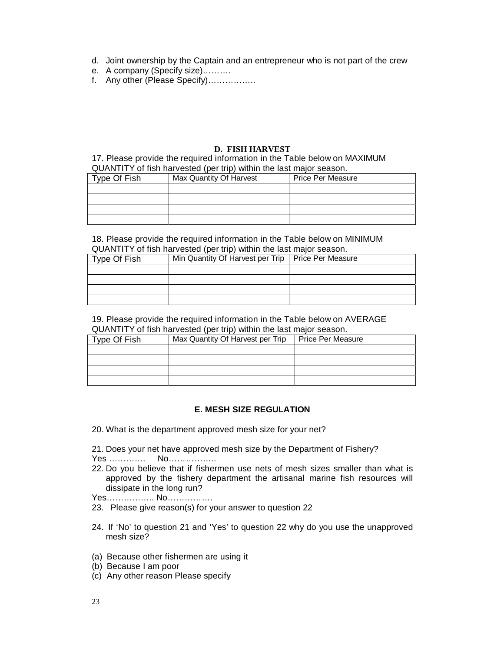- d. Joint ownership by the Captain and an entrepreneur who is not part of the crew
- e. A company (Specify size)……….
- f. Any other (Please Specify)……………..

#### **D. FISH HARVEST**

17. Please provide the required information in the Table below on MAXIMUM QUANTITY of fish harvested (per trip) within the last major season.

| where the contract the contract of the contract the contract the contract of the contract of the contract of the contract of the contract of the contract of the contract of the contract of the contract of the contract of t |                         |                          |  |  |
|--------------------------------------------------------------------------------------------------------------------------------------------------------------------------------------------------------------------------------|-------------------------|--------------------------|--|--|
| Type Of Fish                                                                                                                                                                                                                   | Max Quantity Of Harvest | <b>Price Per Measure</b> |  |  |
|                                                                                                                                                                                                                                |                         |                          |  |  |
|                                                                                                                                                                                                                                |                         |                          |  |  |
|                                                                                                                                                                                                                                |                         |                          |  |  |
|                                                                                                                                                                                                                                |                         |                          |  |  |

18. Please provide the required information in the Table below on MINIMUM QUANTITY of fish harvested (per trip) within the last major season.

| ab, a change of the color to the state of the state and the state of the second of the state of the state of the state of the state of the state of the state of the state of the state of the state of the state of the state |                                                      |  |  |  |
|--------------------------------------------------------------------------------------------------------------------------------------------------------------------------------------------------------------------------------|------------------------------------------------------|--|--|--|
| Type Of Fish                                                                                                                                                                                                                   | Min Quantity Of Harvest per Trip   Price Per Measure |  |  |  |
|                                                                                                                                                                                                                                |                                                      |  |  |  |
|                                                                                                                                                                                                                                |                                                      |  |  |  |
|                                                                                                                                                                                                                                |                                                      |  |  |  |
|                                                                                                                                                                                                                                |                                                      |  |  |  |

19. Please provide the required information in the Table below on AVERAGE QUANTITY of fish harvested (per trip) within the last major season.

| Type Of Fish | Max Quantity Of Harvest per Trip | Price Per Measure |
|--------------|----------------------------------|-------------------|
|              |                                  |                   |
|              |                                  |                   |
|              |                                  |                   |
|              |                                  |                   |

#### **E. MESH SIZE REGULATION**

- 20. What is the department approved mesh size for your net?
- 21. Does your net have approved mesh size by the Department of Fishery?

Yes …………. No……………..

22. Do you believe that if fishermen use nets of mesh sizes smaller than what is approved by the fishery department the artisanal marine fish resources will dissipate in the long run?

Yes…………….. No…………….

- 23. Please give reason(s) for your answer to question 22
- 24. If 'No' to question 21 and 'Yes' to question 22 why do you use the unapproved mesh size?
- (a) Because other fishermen are using it
- (b) Because I am poor
- (c) Any other reason Please specify